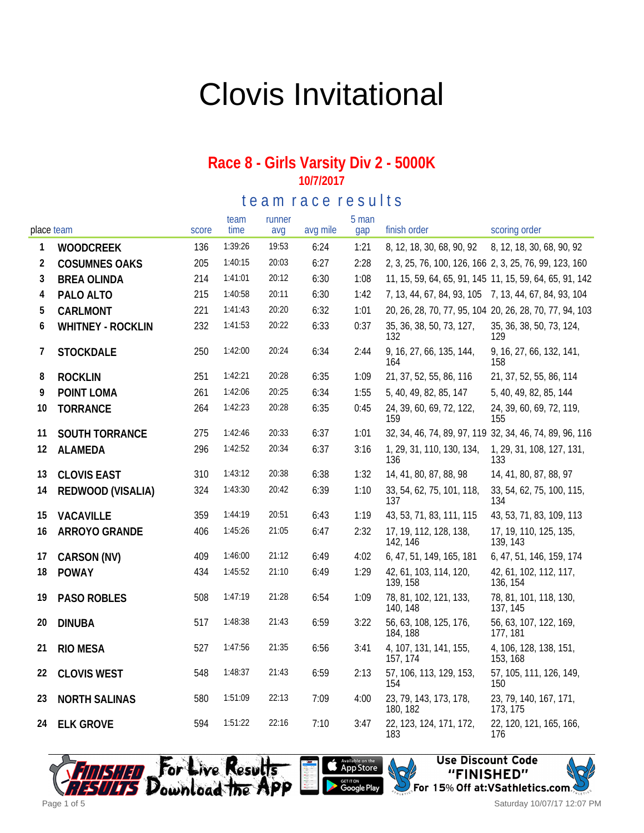# Clovis Invitational

#### **Race 8 - Girls Varsity Div 2 - 5000K 10/7/2017**

te am race results

| place team   |                       | score | team<br>time | runner<br>avq | avg mile | 5 man<br>gap | finish order                                           | scoring order                                           |
|--------------|-----------------------|-------|--------------|---------------|----------|--------------|--------------------------------------------------------|---------------------------------------------------------|
| $\mathbf{1}$ | <b>WOODCREEK</b>      | 136   | 1:39:26      | 19:53         | 6:24     | 1:21         | 8, 12, 18, 30, 68, 90, 92                              | 8, 12, 18, 30, 68, 90, 92                               |
| 2            | <b>COSUMNES OAKS</b>  | 205   | 1:40:15      | 20:03         | 6:27     | 2:28         | 2, 3, 25, 76, 100, 126, 166 2, 3, 25, 76, 99, 123, 160 |                                                         |
| 3            | <b>BREA OLINDA</b>    | 214   | 1:41:01      | 20:12         | 6:30     | 1:08         |                                                        | 11, 15, 59, 64, 65, 91, 145 11, 15, 59, 64, 65, 91, 142 |
| 4            | PALO ALTO             | 215   | 1:40:58      | 20:11         | 6:30     | 1:42         | 7, 13, 44, 67, 84, 93, 105 7, 13, 44, 67, 84, 93, 104  |                                                         |
| 5            | CARLMONT              | 221   | 1:41:43      | 20:20         | 6:32     | 1:01         |                                                        | 20, 26, 28, 70, 77, 95, 104 20, 26, 28, 70, 77, 94, 103 |
| 6            | WHITNEY - ROCKLIN     | 232   | 1:41:53      | 20:22         | 6:33     | 0:37         | 35, 36, 38, 50, 73, 127,<br>132                        | 35, 36, 38, 50, 73, 124,<br>129                         |
| 7            | <b>STOCKDALE</b>      | 250   | 1:42:00      | 20:24         | 6:34     | 2:44         | 9, 16, 27, 66, 135, 144,<br>164                        | 9, 16, 27, 66, 132, 141,<br>158                         |
| 8            | <b>ROCKLIN</b>        | 251   | 1:42:21      | 20:28         | 6:35     | 1:09         | 21, 37, 52, 55, 86, 116                                | 21, 37, 52, 55, 86, 114                                 |
| 9            | POINT LOMA            | 261   | 1:42:06      | 20:25         | 6:34     | 1:55         | 5, 40, 49, 82, 85, 147                                 | 5, 40, 49, 82, 85, 144                                  |
| 10           | <b>TORRANCE</b>       | 264   | 1:42:23      | 20:28         | 6:35     | 0:45         | 24, 39, 60, 69, 72, 122,<br>159                        | 24, 39, 60, 69, 72, 119,<br>155                         |
| 11           | <b>SOUTH TORRANCE</b> | 275   | 1:42:46      | 20:33         | 6:37     | 1:01         |                                                        | 32, 34, 46, 74, 89, 97, 119 32, 34, 46, 74, 89, 96, 116 |
| 12           | ALAMEDA               | 296   | 1:42:52      | 20:34         | 6:37     | 3:16         | 1, 29, 31, 110, 130, 134,<br>136                       | 1, 29, 31, 108, 127, 131,<br>133                        |
| 13           | <b>CLOVIS EAST</b>    | 310   | 1:43:12      | 20:38         | 6:38     | 1:32         | 14, 41, 80, 87, 88, 98                                 | 14, 41, 80, 87, 88, 97                                  |
| 14           | REDWOOD (VISALIA)     | 324   | 1:43:30      | 20:42         | 6:39     | 1:10         | 33, 54, 62, 75, 101, 118,<br>137                       | 33, 54, 62, 75, 100, 115,<br>134                        |
| 15           | VACAVILLE             | 359   | 1:44:19      | 20:51         | 6:43     | 1:19         | 43, 53, 71, 83, 111, 115                               | 43, 53, 71, 83, 109, 113                                |
| 16           | ARROYO GRANDE         | 406   | 1:45:26      | 21:05         | 6:47     | 2:32         | 17, 19, 112, 128, 138,<br>142, 146                     | 17, 19, 110, 125, 135,<br>139, 143                      |
| 17           | CARSON (NV)           | 409   | 1:46:00      | 21:12         | 6:49     | 4:02         | 6, 47, 51, 149, 165, 181                               | 6, 47, 51, 146, 159, 174                                |
| 18           | <b>POWAY</b>          | 434   | 1:45:52      | 21:10         | 6:49     | 1:29         | 42, 61, 103, 114, 120,<br>139, 158                     | 42, 61, 102, 112, 117,<br>136, 154                      |
| 19           | PASO ROBLES           | 508   | 1:47:19      | 21:28         | 6:54     | 1:09         | 78, 81, 102, 121, 133,<br>140, 148                     | 78, 81, 101, 118, 130,<br>137, 145                      |
| 20           | <b>DINUBA</b>         | 517   | 1:48:38      | 21:43         | 6:59     | 3:22         | 56, 63, 108, 125, 176,<br>184, 188                     | 56, 63, 107, 122, 169,<br>177, 181                      |
| 21           | RIO MESA              | 527   | 1:47:56      | 21:35         | 6:56     | 3:41         | 4, 107, 131, 141, 155,<br>157, 174                     | 4, 106, 128, 138, 151,<br>153, 168                      |
| 22           | <b>CLOVIS WEST</b>    | 548   | 1:48:37      | 21:43         | 6:59     | 2:13         | 57, 106, 113, 129, 153,<br>154                         | 57, 105, 111, 126, 149,<br>150                          |
| 23           | <b>NORTH SALINAS</b>  | 580   | 1:51:09      | 22:13         | 7:09     | 4:00         | 23, 79, 143, 173, 178,<br>180, 182                     | 23, 79, 140, 167, 171,<br>173, 175                      |
| 24           | <b>ELK GROVE</b>      | 594   | 1:51:22      | 22:16         | 7:10     | 3:47         | 22, 123, 124, 171, 172,<br>183                         | 22, 120, 121, 165, 166,<br>176                          |







Saturday 10/07/17 12:07 PM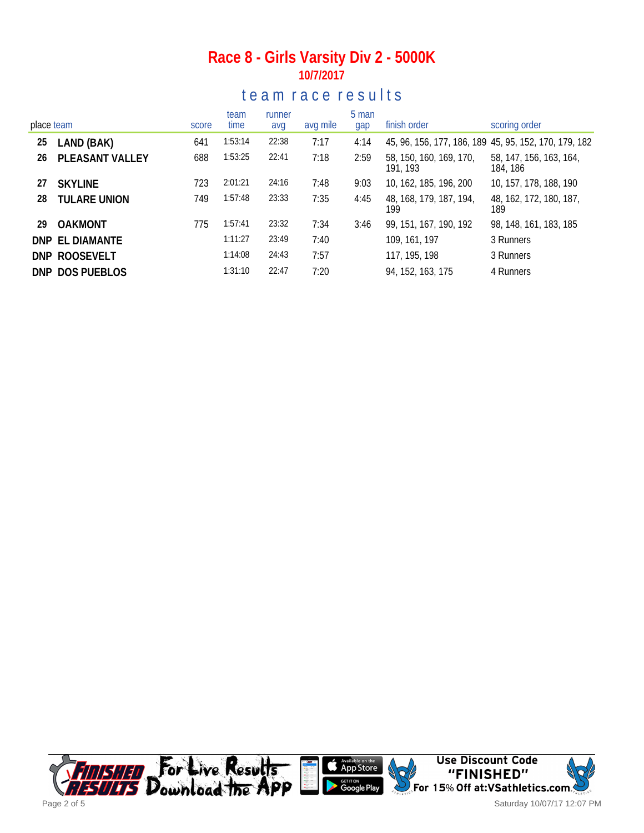## **Race 8 - Girls Varsity Div 2 - 5000K 10/7/2017**

## te a m r a c e r e sults

| place team |                     | score | team<br>time | runner<br>avg | avg mile | 5 man<br>gap | finish order                        | scoring order                                         |
|------------|---------------------|-------|--------------|---------------|----------|--------------|-------------------------------------|-------------------------------------------------------|
| 25         | LAND (BAK)          | 641   | 1:53:14      | 22:38         | 7:17     | 4:14         |                                     | 45, 96, 156, 177, 186, 189 45, 95, 152, 170, 179, 182 |
| 26         | PLEASANT VALLEY     | 688   | 1:53:25      | 22:41         | 7:18     | 2:59         | 58, 150, 160, 169, 170,<br>191, 193 | 58, 147, 156, 163, 164,<br>184, 186                   |
| 27         | <b>SKYLINE</b>      | 723   | 2:01:21      | 24:16         | 7:48     | 9:03         | 10, 162, 185, 196, 200              | 10, 157, 178, 188, 190                                |
| 28         | <b>TULARE UNION</b> | 749   | 1:57:48      | 23:33         | 7:35     | 4:45         | 48, 168, 179, 187, 194,<br>199      | 48, 162, 172, 180, 187,<br>189                        |
| 29         | <b>OAKMONT</b>      | 775   | 1:57:41      | 23:32         | 7:34     | 3:46         | 99, 151, 167, 190, 192              | 98, 148, 161, 183, 185                                |
|            | DNP EL DIAMANTE     |       | 1:11:27      | 23:49         | 7:40     |              | 109, 161, 197                       | 3 Runners                                             |
|            | DNP ROOSEVELT       |       | 1:14:08      | 24:43         | 7:57     |              | 117, 195, 198                       | 3 Runners                                             |
|            | DNP DOS PUEBLOS     |       | 1:31:10      | 22:47         | 7:20     |              | 94, 152, 163, 175                   | 4 Runners                                             |



Saturday 10/07/17 12:07 PM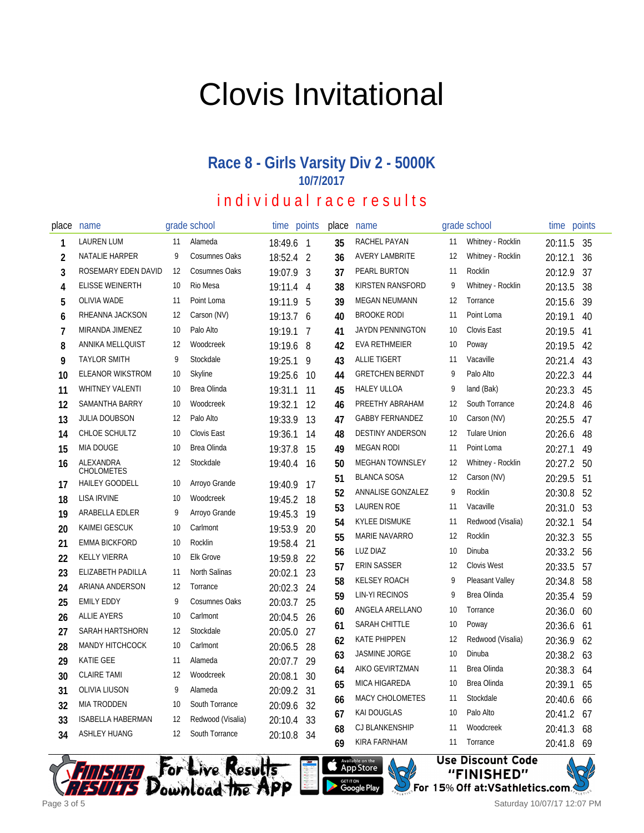# Clovis Invitational

## **Race 8 - Girls Varsity Div 2 - 5000K 10/7/2017**

## individual race results

| place          | name                     |    | grade school         | time       | points | place | name                    |    | grade school        | time        | points |
|----------------|--------------------------|----|----------------------|------------|--------|-------|-------------------------|----|---------------------|-------------|--------|
| 1              | <b>LAUREN LUM</b>        | 11 | Alameda              | 18:49.6 1  |        | 35    | RACHEL PAYAN            | 11 | Whitney - Rocklin   | 20:11.5     | -35    |
| 2              | NATALIE HARPER           | 9  | Cosumnes Oaks        | 18:52.4 2  |        | 36    | <b>AVERY LAMBRITE</b>   | 12 | Whitney - Rocklin   | 20:12.1     | 36     |
| 3              | ROSEMARY EDEN DAVID      | 12 | <b>Cosumnes Oaks</b> | 19:07.9 3  |        | 37    | PEARL BURTON            | 11 | Rocklin             | 20:12.9     | 37     |
| 4              | <b>ELISSE WEINERTH</b>   | 10 | Rio Mesa             | 19:11.4 4  |        | 38    | KIRSTEN RANSFORD        | 9  | Whitney - Rocklin   | 20:13.5     | 38     |
| 5              | <b>OLIVIA WADE</b>       | 11 | Point Loma           | 19:11.9    | 5      | 39    | <b>MEGAN NEUMANN</b>    | 12 | Torrance            | 20:15.6     | 39     |
| 6              | RHEANNA JACKSON          | 12 | Carson (NV)          | 19:13.7 6  |        | 40    | <b>BROOKE RODI</b>      | 11 | Point Loma          | 20:19.1     | 40     |
| $\overline{7}$ | MIRANDA JIMENEZ          | 10 | Palo Alto            | 19:19.1    | 7      | 41    | <b>JAYDN PENNINGTON</b> | 10 | <b>Clovis East</b>  | 20:19.5     | 41     |
| 8              | ANNIKA MELLQUIST         | 12 | Woodcreek            | 19:19.6    | 8      | 42    | EVA RETHMEIER           | 10 | Poway               | 20:19.5     | 42     |
| 9              | <b>TAYLOR SMITH</b>      | 9  | Stockdale            | 19:25.1    | 9      | 43    | <b>ALLIE TIGERT</b>     | 11 | Vacaville           | 20:21.4     | 43     |
| 10             | <b>ELEANOR WIKSTROM</b>  | 10 | Skyline              | 19:25.6    | 10     | 44    | <b>GRETCHEN BERNDT</b>  | 9  | Palo Alto           | 20:22.3     | 44     |
| 11             | <b>WHITNEY VALENTI</b>   | 10 | Brea Olinda          | 19:31.1    | 11     | 45    | <b>HALEY ULLOA</b>      | 9  | land (Bak)          | 20:23.3     | 45     |
| 12             | SAMANTHA BARRY           | 10 | Woodcreek            | 19:32.1    | 12     | 46    | PREETHY ABRAHAM         | 12 | South Torrance      | 20:24.8     | 46     |
| 13             | <b>JULIA DOUBSON</b>     | 12 | Palo Alto            | 19:33.9    | 13     | 47    | <b>GABBY FERNANDEZ</b>  | 10 | Carson (NV)         | 20:25.5     | 47     |
| 14             | CHLOE SCHULTZ            | 10 | Clovis East          | 19:36.1    | 14     | 48    | <b>DESTINY ANDERSON</b> | 12 | <b>Tulare Union</b> | 20:26.6     | 48     |
| 15             | <b>MIA DOUGE</b>         | 10 | Brea Olinda          | 19:37.8    | 15     | 49    | <b>MEGAN RODI</b>       | 11 | Point Loma          | 20:27.1     | 49     |
| 16             | ALEXANDRA<br>CHOLOMETES  | 12 | Stockdale            | 19:40.4    | 16     | 50    | <b>MEGHAN TOWNSLEY</b>  | 12 | Whitney - Rocklin   | 20:27.2     | 50     |
| 17             | <b>HAILEY GOODELL</b>    | 10 | Arroyo Grande        | 19:40.9    | 17     | 51    | <b>BLANCA SOSA</b>      | 12 | Carson (NV)         | 20:29.5     | 51     |
| 18             | <b>LISA IRVINE</b>       | 10 | Woodcreek            | 19:45.2    | 18     | 52    | ANNALISE GONZALEZ       | 9  | Rocklin             | 20:30.8     | 52     |
| 19             | ARABELLA EDLER           | 9  | Arroyo Grande        | 19:45.3    | 19     | 53    | <b>LAUREN ROE</b>       | 11 | Vacaville           | 20:31.0     | 53     |
| 20             | KAIMEI GESCUK            | 10 | Carlmont             | 19:53.9    | 20     | 54    | <b>KYLEE DISMUKE</b>    | 11 | Redwood (Visalia)   | 20:32.1     | 54     |
| 21             | <b>EMMA BICKFORD</b>     | 10 | Rocklin              | 19:58.4    | 21     | 55    | <b>MARIE NAVARRO</b>    | 12 | Rocklin             | 20:32.3     | 55     |
| 22             | <b>KELLY VIERRA</b>      | 10 | <b>Elk Grove</b>     | 19:59.8    | 22     | 56    | LUZ DIAZ                | 10 | Dinuba              | 20:33.2     | 56     |
| 23             | ELIZABETH PADILLA        | 11 | North Salinas        | 20:02.1    | 23     | 57    | <b>ERIN SASSER</b>      | 12 | <b>Clovis West</b>  | 20:33.5     | 57     |
| 24             | ARIANA ANDERSON          | 12 | Torrance             | 20:02.3    | 24     | 58    | <b>KELSEY ROACH</b>     | 9  | Pleasant Valley     | 20:34.8     | 58     |
| 25             | <b>EMILY EDDY</b>        | 9  | <b>Cosumnes Oaks</b> | 20:03.7    | 25     | 59    | <b>LIN-YI RECINOS</b>   | 9  | <b>Brea Olinda</b>  | 20:35.4     | 59     |
| 26             | <b>ALLIE AYERS</b>       | 10 | Carlmont             | 20:04.5    | 26     | 60    | ANGELA ARELLANO         | 10 | Torrance            | 20:36.0     | 60     |
| 27             | SARAH HARTSHORN          | 12 | Stockdale            | 20:05.0    | 27     | 61    | SARAH CHITTLE           | 10 | Poway               | 20:36.6     | 61     |
| 28             | <b>MANDY HITCHCOCK</b>   | 10 | Carlmont             | 20:06.5    | 28     | 62    | <b>KATE PHIPPEN</b>     | 12 | Redwood (Visalia)   | 20:36.9     | 62     |
| 29             | <b>KATIE GEE</b>         | 11 | Alameda              | 20:07.7    | 29     | 63    | JASMINE JORGE           | 10 | Dinuba              | 20:38.2     | 63     |
| 30             | <b>CLAIRE TAMI</b>       | 12 | Woodcreek            | 20:08.1    | 30     | 64    | AIKO GEVIRTZMAN         | 11 | <b>Brea Olinda</b>  | 20:38.3     | 64     |
| 31             | <b>OLIVIA LIUSON</b>     | 9  | Alameda              | 20:09.2    | 31     | 65    | <b>MICA HIGAREDA</b>    | 10 | Brea Olinda         | 20:39.1     | 65     |
| 32             | <b>MIA TRODDEN</b>       | 10 | South Torrance       | 20:09.6    | 32     | 66    | MACY CHOLOMETES         | 11 | Stockdale           | 20:40.6     | 66     |
| 33             | <b>ISABELLA HABERMAN</b> | 12 | Redwood (Visalia)    | 20:10.4    | 33     | 67    | <b>KAI DOUGLAS</b>      | 10 | Palo Alto           | 20:41.2     | 67     |
| 34             | <b>ASHLEY HUANG</b>      | 12 | South Torrance       | 20:10.8 34 |        | 68    | CJ BLANKENSHIP          | 11 | Woodcreek           | 20:41.3     | 68     |
|                |                          |    |                      |            |        | 69    | KIRA FARNHAM            | 11 | Torrance            | $20.418$ 69 |        |

Available on the App Store

**Google Play** 



**Use Discount Code** "FINISHED" For 15% Off at:VSathletics.com.

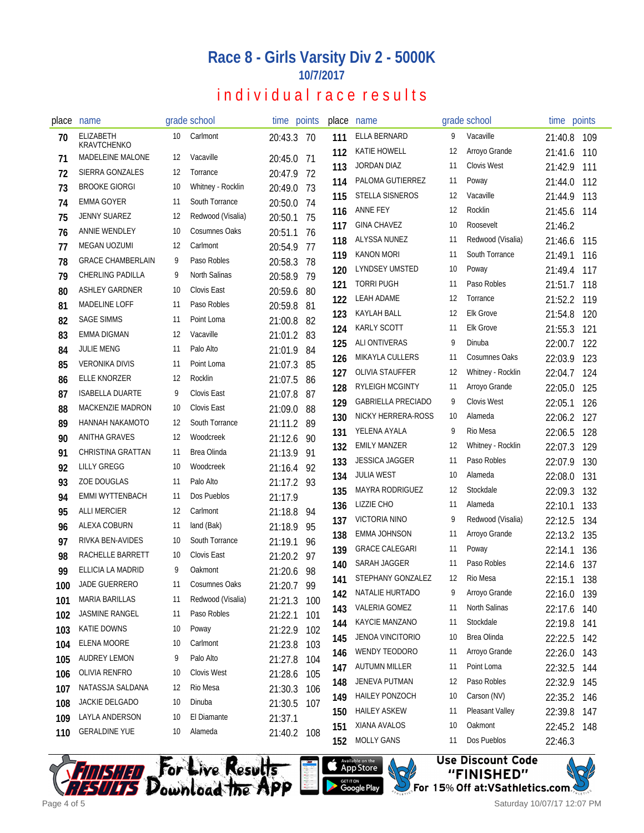### **Race 8 - Girls Varsity Div 2 - 5000K 10/7/2017**

## individual race results

| place | name                                   |     | grade school       |         | time points | place | name                      |    | grade school       | time points |     |
|-------|----------------------------------------|-----|--------------------|---------|-------------|-------|---------------------------|----|--------------------|-------------|-----|
| 70    | <b>ELIZABETH</b><br><b>KRAVTCHENKO</b> | 10  | Carlmont           | 20:43.3 | 70          | 111   | ELLA BERNARD              | 9  | Vacaville          | 21:40.8     | 109 |
| 71    | MADELEINE MALONE                       | 12  | Vacaville          | 20:45.0 | -71         | 112   | <b>KATIE HOWELL</b>       | 12 | Arroyo Grande      | 21:41.6     | 110 |
| 72    | SIERRA GONZALES                        | 12  | Torrance           | 20:47.9 | 72          | 113   | <b>JORDAN DIAZ</b>        | 11 | <b>Clovis West</b> | 21:42.9     | 111 |
| 73    | <b>BROOKE GIORGI</b>                   | 10  | Whitney - Rocklin  | 20:49.0 | 73          | 114   | PALOMA GUTIERREZ          | 11 | Poway              | 21:44.0     | 112 |
| 74    | EMMA GOYER                             | 11  | South Torrance     | 20:50.0 | 74          | 115   | <b>STELLA SISNEROS</b>    | 12 | Vacaville          | 21:44.9     | 113 |
| 75    | JENNY SUAREZ                           | 12  | Redwood (Visalia)  | 20:50.1 | 75          | 116   | <b>ANNE FEY</b>           | 12 | Rocklin            | 21:45.6     | 114 |
| 76    | ANNIE WENDLEY                          | 10  | Cosumnes Oaks      | 20:51.1 | 76          | 117   | <b>GINA CHAVEZ</b>        | 10 | Roosevelt          | 21:46.2     |     |
| 77    | MEGAN UOZUMI                           | 12  | Carlmont           | 20:54.9 | 77          | 118   | ALYSSA NUNEZ              | 11 | Redwood (Visalia)  | 21:46.6     | 115 |
| 78    | <b>GRACE CHAMBERLAIN</b>               | 9   | Paso Robles        | 20:58.3 | 78          | 119   | <b>KANON MORI</b>         | 11 | South Torrance     | 21:49.1     | 116 |
| 79    | <b>CHERLING PADILLA</b>                | 9   | North Salinas      | 20:58.9 | 79          | 120   | <b>LYNDSEY UMSTED</b>     | 10 | Poway              | 21:49.4     | 117 |
| 80    | <b>ASHLEY GARDNER</b>                  | 10  | Clovis East        | 20:59.6 | 80          | 121   | <b>TORRI PUGH</b>         | 11 | Paso Robles        | 21:51.7     | 118 |
| 81    | <b>MADELINE LOFF</b>                   | -11 | Paso Robles        | 20:59.8 | 81          | 122   | <b>LEAH ADAME</b>         | 12 | Torrance           | 21:52.2     | 119 |
| 82    | <b>SAGE SIMMS</b>                      | -11 | Point Loma         | 21:00.8 | 82          | 123   | KAYLAH BALL               | 12 | <b>Elk Grove</b>   | 21:54.8     | 120 |
| 83    | EMMA DIGMAN                            | 12  | Vacaville          | 21:01.2 | 83          | 124   | <b>KARLY SCOTT</b>        | 11 | <b>Elk Grove</b>   | 21:55.3     | 121 |
| 84    | <b>JULIE MENG</b>                      | 11  | Palo Alto          | 21:01.9 | 84          | 125   | <b>ALI ONTIVERAS</b>      | 9  | Dinuba             | 22:00.7     | 122 |
| 85    | <b>VERONIKA DIVIS</b>                  | -11 | Point Loma         | 21:07.3 | 85          | 126   | <b>MIKAYLA CULLERS</b>    | 11 | Cosumnes Oaks      | 22:03.9     | 123 |
| 86    | <b>ELLE KNORZER</b>                    | 12  | Rocklin            | 21:07.5 | 86          | 127   | <b>OLIVIA STAUFFER</b>    | 12 | Whitney - Rocklin  | 22:04.7     | 124 |
| 87    | <b>ISABELLA DUARTE</b>                 | 9   | Clovis East        | 21:07.8 | 87          | 128   | <b>RYLEIGH MCGINTY</b>    | 11 | Arroyo Grande      | 22:05.0     | 125 |
| 88    | MACKENZIE MADRON                       | 10  | <b>Clovis East</b> | 21:09.0 | 88          | 129   | <b>GABRIELLA PRECIADO</b> | 9  | <b>Clovis West</b> | 22:05.1     | 126 |
| 89    | HANNAH NAKAMOTO                        | 12  | South Torrance     | 21:11.2 | 89          | 130   | NICKY HERRERA-ROSS        | 10 | Alameda            | 22:06.2     | 127 |
| 90    | <b>ANITHA GRAVES</b>                   | 12  | Woodcreek          | 21:12.6 | 90          | 131   | YELENA AYALA              | 9  | Rio Mesa           | 22:06.5     | 128 |
| 91    | CHRISTINA GRATTAN                      | -11 | Brea Olinda        | 21:13.9 | 91          | 132   | <b>EMILY MANZER</b>       | 12 | Whitney - Rocklin  | 22:07.3     | 129 |
| 92    | <b>LILLY GREGG</b>                     | 10  | Woodcreek          | 21:16.4 | 92          | 133   | <b>JESSICA JAGGER</b>     | 11 | Paso Robles        | 22:07.9     | 130 |
| 93    | <b>ZOE DOUGLAS</b>                     | 11  | Palo Alto          | 21:17.2 | 93          | 134   | <b>JULIA WEST</b>         | 10 | Alameda            | 22:08.0     | 131 |
| 94    | <b>EMMI WYTTENBACH</b>                 | -11 | Dos Pueblos        | 21:17.9 |             | 135   | MAYRA RODRIGUEZ           | 12 | Stockdale          | 22:09.3     | 132 |
| 95    | <b>ALLI MERCIER</b>                    | 12  | Carlmont           | 21:18.8 | 94          | 136   | LIZZIE CHO                | 11 | Alameda            | 22:10.1     | 133 |
| 96    | ALEXA COBURN                           | 11  | land (Bak)         | 21:18.9 | 95          | 137   | VICTORIA NINO             | 9  | Redwood (Visalia)  | 22:12.5     | 134 |
| 97    | RIVKA BEN-AVIDES                       | 10  | South Torrance     | 21:19.1 | 96          | 138   | EMMA JOHNSON              | 11 | Arroyo Grande      | 22:13.2     | 135 |
| 98    | RACHELLE BARRETT                       | 10  | <b>Clovis East</b> | 21:20.2 | 97          | 139   | <b>GRACE CALEGARI</b>     | 11 | Poway              | 22:14.1     | 136 |
| 99    | ELLICIA LA MADRID                      | 9   | Oakmont            | 21:20.6 | 98          | 140   | SARAH JAGGER              | 11 | Paso Robles        | 22:14.6     | 137 |
| 100   | JADE GUERRERO                          | 11  | Cosumnes Oaks      | 21:20.7 | -99         | 141   | STEPHANY GONZALEZ         | 12 | Rio Mesa           | 22:15.1 138 |     |
| 101   | <b>MARIA BARILLAS</b>                  | 11  | Redwood (Visalia)  | 21:21.3 | 100         | 142   | NATALIE HURTADO           | 9  | Arroyo Grande      | 22:16.0     | 139 |
| 102   | JASMINE RANGEL                         | 11  | Paso Robles        | 21:22.1 | 101         | 143   | <b>VALERIA GOMEZ</b>      | 11 | North Salinas      | 22:17.6     | 140 |
| 103   | <b>KATIE DOWNS</b>                     | 10  | Poway              | 21:22.9 | 102         | 144   | KAYCIE MANZANO            | 11 | Stockdale          | 22:19.8     | 141 |
| 104   | ELENA MOORE                            | 10  | Carlmont           | 21:23.8 | 103         | 145   | JENOA VINCITORIO          | 10 | Brea Olinda        | 22:22.5     | 142 |
| 105   | <b>AUDREY LEMON</b>                    | 9   | Palo Alto          | 21:27.8 | 104         | 146   | WENDY TEODORO             | 11 | Arroyo Grande      | 22:26.0     | 143 |
| 106   | OLIVIA RENFRO                          | 10  | Clovis West        | 21:28.6 | 105         | 147   | <b>AUTUMN MILLER</b>      | 11 | Point Loma         | 22:32.5     | 144 |
| 107   | NATASSJA SALDANA                       | 12  | Rio Mesa           | 21:30.3 | 106         | 148   | JENEVA PUTMAN             | 12 | Paso Robles        | 22:32.9     | 145 |
| 108   | JACKIE DELGADO                         | 10  | Dinuba             | 21:30.5 | 107         | 149   | <b>HAILEY PONZOCH</b>     | 10 | Carson (NV)        | 22:35.2     | 146 |
| 109   | LAYLA ANDERSON                         | 10  | El Diamante        | 21:37.1 |             | 150   | <b>HAILEY ASKEW</b>       | 11 | Pleasant Valley    | 22:39.8     | 147 |
| 110   | <b>GERALDINE YUE</b>                   | 10  | Alameda            | 21:40.2 | 108         | 151   | XIANA AVALOS              | 10 | Oakmont            | 22:45.2 148 |     |
|       |                                        |     |                    |         |             | 152   | <b>MOLLY GANS</b>         | 11 | Dos Pueblos        | 22:46.3     |     |